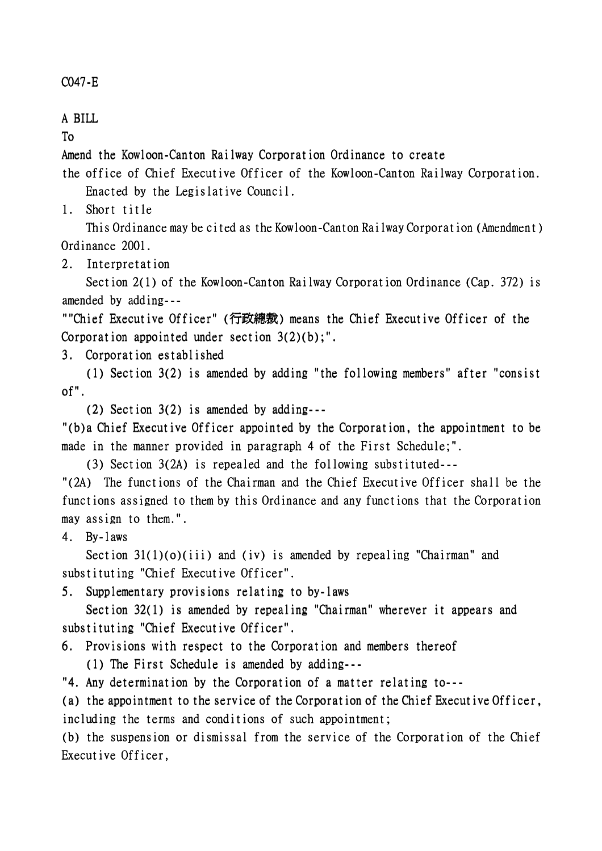## C047-E

## A BILL

To

Amend the Kowloon-Canton Railway Corporation Ordinance to create

the office of Chief Executive Officer of the Kowloon-Canton Railway Corporation. Enacted by the Legislative Council.

1. Short title

This Ordinance may be cited as the Kowloon-Canton Railway Corporation (Amendment) Ordinance 2001.

2. Interpretation

Section 2(1) of the Kowloon-Canton Railway Corporation Ordinance (Cap. 372) is amended by adding---

""Chief Executive Officer" (行政總裁) means the Chief Executive Officer of the Corporation appointed under section 3(2)(b);".

3. Corporation established

(1) Section 3(2) is amended by adding "the following members" after "consist of".

(2) Section  $3(2)$  is amended by adding---

"(b)a Chief Executive Officer appointed by the Corporation, the appointment to be made in the manner provided in paragraph 4 of the First Schedule;".

(3) Section  $3(2A)$  is repealed and the following substituted---

"(2A) The functions of the Chairman and the Chief Executive Officer shall be the functions assigned to them by this Ordinance and any functions that the Corporation may assign to them.".

4. By-laws

Section  $31(1)(o)(iii)$  and (iv) is amended by repealing "Chairman" and substituting "Chief Executive Officer".

5. Supplementary provisions relating to by-laws

Section 32(1) is amended by repealing "Chairman" wherever it appears and substituting "Chief Executive Officer".

6. Provisions with respect to the Corporation and members thereof

(1) The First Schedule is amended by adding- $-$ 

"4. Any determination by the Corporation of a matter relating to---

(a) the appointment to the service of the Corporation of the Chief Executive Officer, including the terms and conditions of such appointment;

(b) the suspension or dismissal from the service of the Corporation of the Chief Executive Officer,